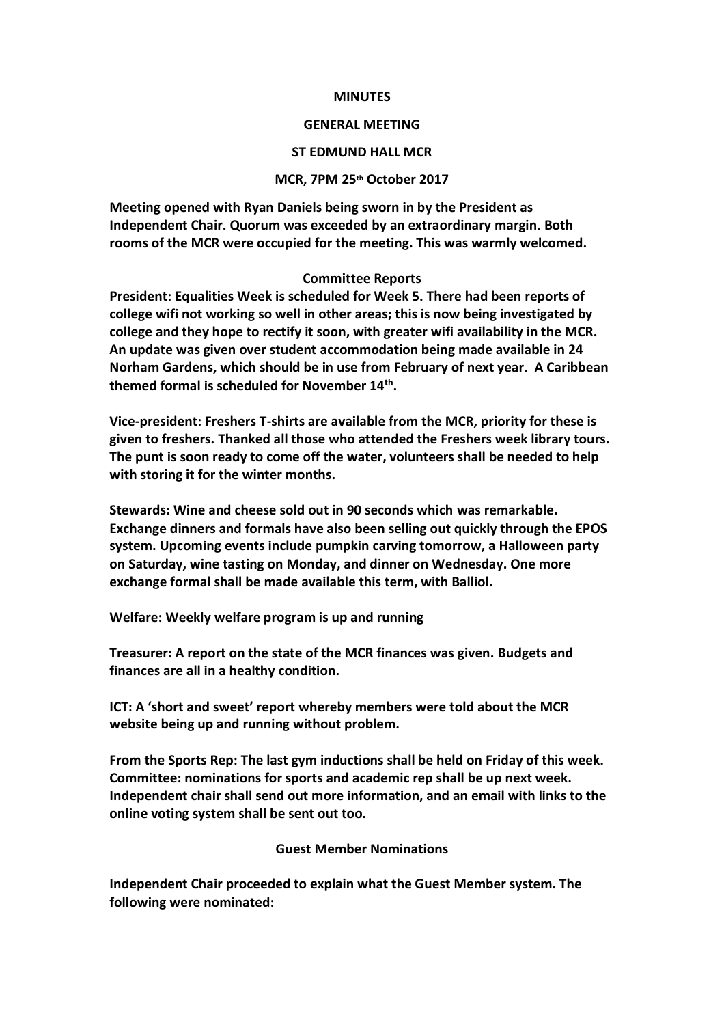## **MINUTES**

## **GENERAL MEETING**

# **ST EDMUND HALL MCR**

## **MCR, 7PM 25th October 2017**

**Meeting opened with Ryan Daniels being sworn in by the President as Independent Chair. Quorum was exceeded by an extraordinary margin. Both rooms of the MCR were occupied for the meeting. This was warmly welcomed.** 

# **Committee Reports**

**President: Equalities Week is scheduled for Week 5. There had been reports of college wifi not working so well in other areas; this is now being investigated by college and they hope to rectify it soon, with greater wifi availability in the MCR. An update was given over student accommodation being made available in 24 Norham Gardens, which should be in use from February of next year. A Caribbean themed formal is scheduled for November 14th .**

**Vice-president: Freshers T-shirts are available from the MCR, priority for these is given to freshers. Thanked all those who attended the Freshers week library tours. The punt is soon ready to come off the water, volunteers shall be needed to help with storing it for the winter months.** 

**Stewards: Wine and cheese sold out in 90 seconds which was remarkable. Exchange dinners and formals have also been selling out quickly through the EPOS system. Upcoming events include pumpkin carving tomorrow, a Halloween party on Saturday, wine tasting on Monday, and dinner on Wednesday. One more exchange formal shall be made available this term, with Balliol.** 

**Welfare: Weekly welfare program is up and running**

**Treasurer: A report on the state of the MCR finances was given. Budgets and finances are all in a healthy condition.**

**ICT: A 'short and sweet' report whereby members were told about the MCR website being up and running without problem.** 

**From the Sports Rep: The last gym inductions shall be held on Friday of this week. Committee: nominations for sports and academic rep shall be up next week. Independent chair shall send out more information, and an email with links to the online voting system shall be sent out too.**

# **Guest Member Nominations**

**Independent Chair proceeded to explain what the Guest Member system. The following were nominated:**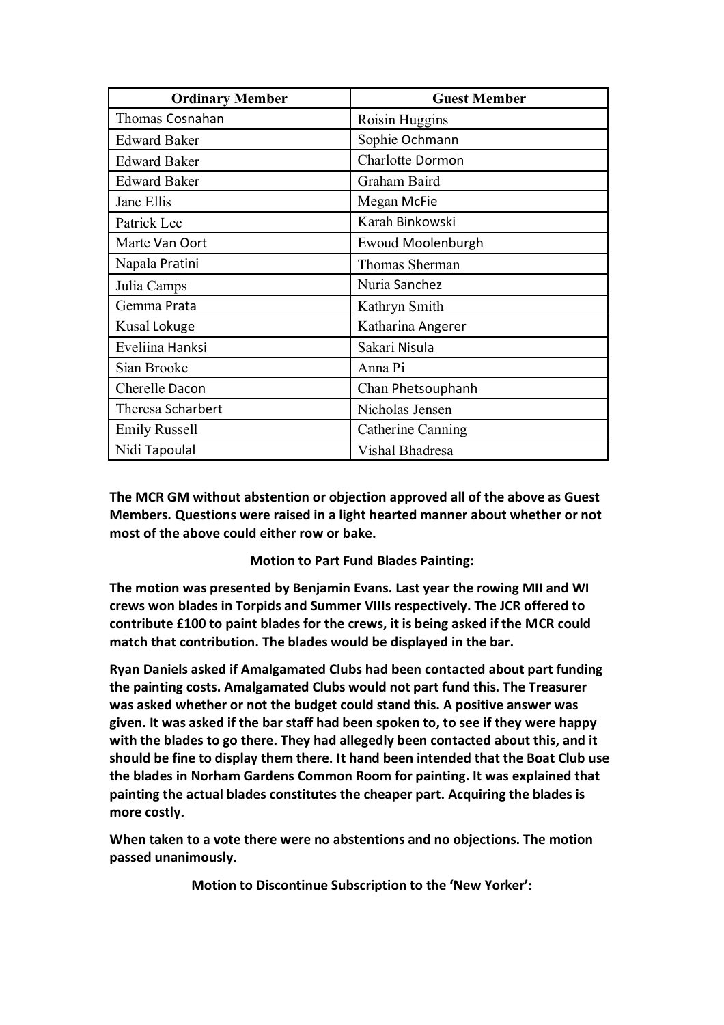| <b>Ordinary Member</b> | <b>Guest Member</b> |
|------------------------|---------------------|
| Thomas Cosnahan        | Roisin Huggins      |
| <b>Edward Baker</b>    | Sophie Ochmann      |
| <b>Edward Baker</b>    | Charlotte Dormon    |
| <b>Edward Baker</b>    | Graham Baird        |
| Jane Ellis             | Megan McFie         |
| Patrick Lee            | Karah Binkowski     |
| Marte Van Oort         | Ewoud Moolenburgh   |
| Napala Pratini         | Thomas Sherman      |
| Julia Camps            | Nuria Sanchez       |
| Gemma Prata            | Kathryn Smith       |
| Kusal Lokuge           | Katharina Angerer   |
| Eveliina Hanksi        | Sakari Nisula       |
| Sian Brooke            | Anna Pi             |
| Cherelle Dacon         | Chan Phetsouphanh   |
| Theresa Scharbert      | Nicholas Jensen     |
| <b>Emily Russell</b>   | Catherine Canning   |
| Nidi Tapoulal          | Vishal Bhadresa     |

**The MCR GM without abstention or objection approved all of the above as Guest Members. Questions were raised in a light hearted manner about whether or not most of the above could either row or bake.** 

**Motion to Part Fund Blades Painting:**

**The motion was presented by Benjamin Evans. Last year the rowing MII and WI crews won blades in Torpids and Summer VIIIs respectively. The JCR offered to contribute £100 to paint blades for the crews, it is being asked if the MCR could match that contribution. The blades would be displayed in the bar.** 

**Ryan Daniels asked if Amalgamated Clubs had been contacted about part funding the painting costs. Amalgamated Clubs would not part fund this. The Treasurer was asked whether or not the budget could stand this. A positive answer was given. It was asked if the bar staff had been spoken to, to see if they were happy with the blades to go there. They had allegedly been contacted about this, and it should be fine to display them there. It hand been intended that the Boat Club use the blades in Norham Gardens Common Room for painting. It was explained that painting the actual blades constitutes the cheaper part. Acquiring the blades is more costly.** 

**When taken to a vote there were no abstentions and no objections. The motion passed unanimously.** 

**Motion to Discontinue Subscription to the 'New Yorker':**